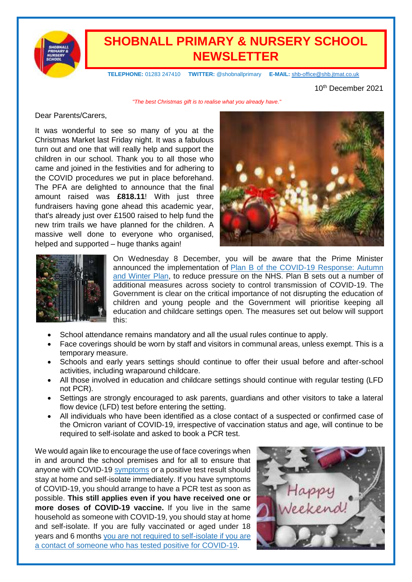

# **SHOBNALL PRIMARY & NURSERY SCHOOL NEWSLETTER**

 **TELEPHONE:** 01283 247410 **TWITTER:** @shobnallprimary **E-MAIL:** [shb-office@shb.jtmat.co.uk](mailto:shb-office@shb.jtmat.co.uk)

10th December 2021

*"The best Christmas gift is to realise what you already have."*

#### Dear Parents/Carers,

It was wonderful to see so many of you at the Christmas Market last Friday night. It was a fabulous turn out and one that will really help and support the children in our school. Thank you to all those who came and joined in the festivities and for adhering to the COVID procedures we put in place beforehand. The PFA are delighted to announce that the final amount raised was **£818.11**! With just three fundraisers having gone ahead this academic year, that's already just over £1500 raised to help fund the new trim trails we have planned for the children. A massive well done to everyone who organised, helped and supported – huge thanks again!





On Wednesday 8 December, you will be aware that the Prime Minister announced the implementation of Plan B of the COVID-19 [Response:](https://www.gov.uk/government/publications/covid-19-response-autumn-and-winter-plan-2021?utm_source=7%20December%202021%20C19&utm_medium=Daily%20Email%20C19&utm_campaign=DfE%20C19) Autumn and [Winter](https://www.gov.uk/government/publications/covid-19-response-autumn-and-winter-plan-2021?utm_source=7%20December%202021%20C19&utm_medium=Daily%20Email%20C19&utm_campaign=DfE%20C19) Plan, to reduce pressure on the NHS. Plan B sets out a number of additional measures across society to control transmission of COVID-19. The Government is clear on the critical importance of not disrupting the education of children and young people and the Government will prioritise keeping all education and childcare settings open. The measures set out below will support this:

- School attendance remains mandatory and all the usual rules continue to apply.
- Face coverings should be worn by staff and visitors in communal areas, unless exempt. This is a temporary measure.
- Schools and early years settings should continue to offer their usual before and after-school activities, including wraparound childcare.
- All those involved in education and childcare settings should continue with regular testing (LFD not PCR).
- Settings are strongly encouraged to ask parents, guardians and other visitors to take a lateral flow device (LFD) test before entering the setting.
- All individuals who have been identified as a close contact of a suspected or confirmed case of the Omicron variant of COVID-19, irrespective of vaccination status and age, will continue to be required to self-isolate and asked to book a PCR test.

We would again like to encourage the use of face coverings when in and around the school premises and for all to ensure that anyone with COVID-19 [symptoms](https://www.gov.uk/government/publications/covid-19-stay-at-home-guidance/stay-at-home-guidance-for-households-with-possible-coronavirus-covid-19-infection#symptoms) or a positive test result should stay at home and self-isolate immediately. If you have symptoms of COVID-19, you should arrange to have a PCR test as soon as possible. **This still applies even if you have received one or more doses of COVID-19 vaccine.** If you live in the same household as someone with COVID-19, you should stay at home and self-isolate. If you are fully vaccinated or aged under 18 years and 6 months [you are not required to self-isolate if you are](https://www.gov.uk/government/publications/covid-19-stay-at-home-guidance/stay-at-home-guidance-for-households-with-possible-coronavirus-covid-19-infection#exempt)  [a contact of someone who has tested positive for COVID-19.](https://www.gov.uk/government/publications/covid-19-stay-at-home-guidance/stay-at-home-guidance-for-households-with-possible-coronavirus-covid-19-infection#exempt)

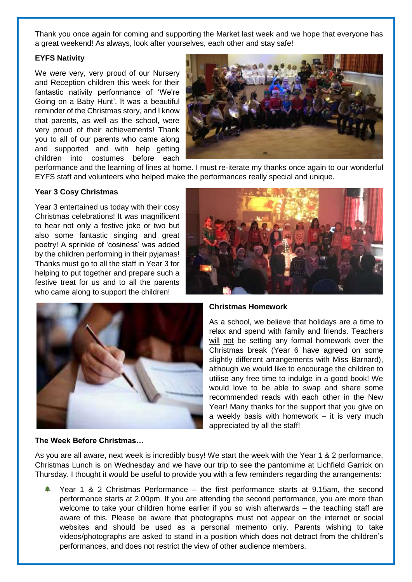Thank you once again for coming and supporting the Market last week and we hope that everyone has a great weekend! As always, look after yourselves, each other and stay safe!

#### **EYFS Nativity**

We were very, very proud of our Nursery and Reception children this week for their fantastic nativity performance of 'We're Going on a Baby Hunt'. It was a beautiful reminder of the Christmas story, and I know that parents, as well as the school, were very proud of their achievements! Thank you to all of our parents who came along and supported and with help getting children into costumes before each



performance and the learning of lines at home. I must re-iterate my thanks once again to our wonderful EYFS staff and volunteers who helped make the performances really special and unique.

#### **Year 3 Cosy Christmas**

Year 3 entertained us today with their cosy Christmas celebrations! It was magnificent to hear not only a festive joke or two but also some fantastic singing and great poetry! A sprinkle of 'cosiness' was added by the children performing in their pyjamas! Thanks must go to all the staff in Year 3 for helping to put together and prepare such a festive treat for us and to all the parents who came along to support the children!



#### **Christmas Homework**

As a school, we believe that holidays are a time to relax and spend with family and friends. Teachers will not be setting any formal homework over the Christmas break (Year 6 have agreed on some slightly different arrangements with Miss Barnard), although we would like to encourage the children to utilise any free time to indulge in a good book! We would love to be able to swap and share some recommended reads with each other in the New Year! Many thanks for the support that you give on a weekly basis with homework – it is very much appreciated by all the staff!

#### **The Week Before Christmas…**

As you are all aware, next week is incredibly busy! We start the week with the Year 1 & 2 performance, Christmas Lunch is on Wednesday and we have our trip to see the pantomime at Lichfield Garrick on Thursday. I thought it would be useful to provide you with a few reminders regarding the arrangements:

Year 1 & 2 Christmas Performance – the first performance starts at 9.15am, the second performance starts at 2.00pm. If you are attending the second performance, you are more than welcome to take your children home earlier if you so wish afterwards – the teaching staff are aware of this. Please be aware that photographs must not appear on the internet or social websites and should be used as a personal memento only. Parents wishing to take videos/photographs are asked to stand in a position which does not detract from the children's performances, and does not restrict the view of other audience members.

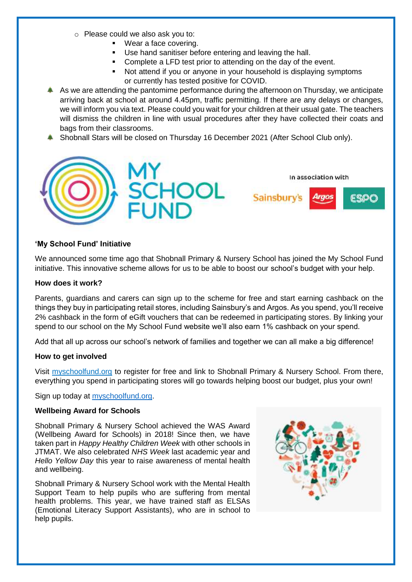- o Please could we also ask you to:
	- Wear a face covering.
	- Use hand sanitiser before entering and leaving the hall.
	- **Complete a LFD test prior to attending on the day of the event.**
	- Not attend if you or anyone in your household is displaying symptoms or currently has tested positive for COVID.
- As we are attending the pantomime performance during the afternoon on Thursday, we anticipate arriving back at school at around 4.45pm, traffic permitting. If there are any delays or changes, we will inform you via text. Please could you wait for your children at their usual gate. The teachers will dismiss the children in line with usual procedures after they have collected their coats and bags from their classrooms.
- Shobnall Stars will be closed on Thursday 16 December 2021 (After School Club only).



### **'My School Fund' Initiative**

We announced some time ago that Shobnall Primary & Nursery School has joined the My School Fund initiative. This innovative scheme allows for us to be able to boost our school's budget with your help.

#### **How does it work?**

Parents, guardians and carers can sign up to the scheme for free and start earning cashback on the things they buy in participating retail stores, including Sainsbury's and Argos. As you spend, you'll receive 2% cashback in the form of eGift vouchers that can be redeemed in participating stores. By linking your spend to our school on the My School Fund website we'll also earn 1% cashback on your spend.

Add that all up across our school's network of families and together we can all make a big difference!

#### **How to get involved**

Visit myschoolfund.org to register for free and link to Shobnall Primary & Nursery School. From there, everything you spend in participating stores will go towards helping boost our budget, plus your own!

Sign up today at [myschoolfund.org.](http://www.myschoolfund.org/)

#### **Wellbeing Award for Schools**

Shobnall Primary & Nursery School achieved the WAS Award (Wellbeing Award for Schools) in 2018! Since then, we have taken part in *Happy Healthy Children Week* with other schools in JTMAT. We also celebrated *NHS Week* last academic year and *Hello Yellow Day* this year to raise awareness of mental health and wellbeing.

Shobnall Primary & Nursery School work with the Mental Health Support Team to help pupils who are suffering from mental health problems. This year, we have trained staff as ELSAs (Emotional Literacy Support Assistants), who are in school to help pupils.

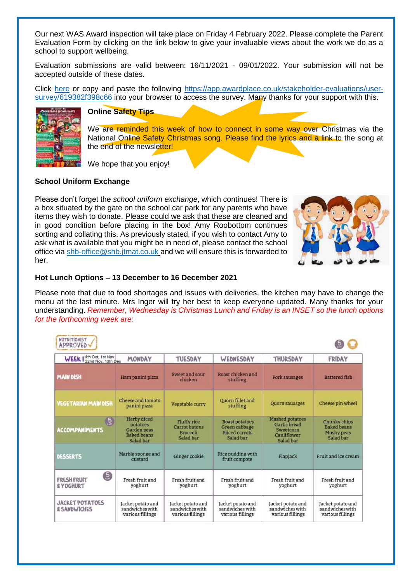Our next WAS Award inspection will take place on Friday 4 February 2022. Please complete the Parent Evaluation Form by clicking on the link below to give your invaluable views about the work we do as a school to support wellbeing.

Evaluation submissions are valid between: 16/11/2021 - 09/01/2022. Your submission will not be accepted outside of these dates.

Click [here](https://app.awardplace.co.uk/stakeholder-evaluations/user-survey/619382f398c66) or copy and paste the following [https://app.awardplace.co.uk/stakeholder-evaluations/user](https://app.awardplace.co.uk/stakeholder-evaluations/user-survey/619382f398c66)[survey/619382f398c66](https://app.awardplace.co.uk/stakeholder-evaluations/user-survey/619382f398c66) into your browser to access the survey. Many thanks for your support with this.



### **Online Safety Tips**

We are reminded this week of how to connect in some way over Christmas via the National Online Safety Christmas song. Please find the lyrics and a link to the song at the end of the newsletter!

We hope that you enjoy!

### **School Uniform Exchange**

Please don't forget the *school uniform exchange*, which continues! There is a box situated by the gate on the school car park for any parents who have items they wish to donate. Please could we ask that these are cleaned and in good condition before placing in the box! Amy Roobottom continues sorting and collating this. As previously stated, if you wish to contact Amy to ask what is available that you might be in need of, please contact the school office via [shb-office@shb.jtmat.co.uk](mailto:shb-office@shb.jtmat.co.uk) and we will ensure this is forwarded to her.



#### **Hot Lunch Options – 13 December to 16 December 2021**

Please note that due to food shortages and issues with deliveries, the kitchen may have to change the menu at the last minute. Mrs Inger will try her best to keep everyone updated. Many thanks for your understanding. *Remember, Wednesday is Christmas Lunch and Friday is an INSET so the lunch options for the forthcoming week are:*

| 4th Oct, 1st Nov<br>22nd Nov, 13th Dec<br>WEEK1   | MONDAY                                                                           | <b>TUESDAY</b>                                                      | WEDNESDAY                                                             | <b>THURSDAY</b>                                                                        | <b>FRIDAY</b>                                                 |
|---------------------------------------------------|----------------------------------------------------------------------------------|---------------------------------------------------------------------|-----------------------------------------------------------------------|----------------------------------------------------------------------------------------|---------------------------------------------------------------|
| <b>MAIN DISH</b>                                  | Ham panini pizza                                                                 | Sweet and sour<br>chicken                                           | Roast chicken and<br>stuffing                                         | Pork sausages                                                                          | <b>Battered</b> fish                                          |
| <b>VEGETARIAN MAIN DISH</b>                       | Cheese and tomato<br>panini pizza                                                | Vegetable curry                                                     | <b>Ouorn fillet and</b><br>stuffing                                   | Quorn sauasges                                                                         | Cheese pin wheel                                              |
| $\overline{5}$<br><b>ACCOMPANIMENTS</b>           | <b>Herby</b> diced<br>potatoes<br>Garden peas<br><b>Baked</b> beans<br>Salad bar | <b>Fluffy rice</b><br>Carrot batons<br><b>Broccoli</b><br>Salad bar | <b>Roast potatoes</b><br>Green cabbage<br>Sliced carrots<br>Salad bar | <b>Mashed potatoes</b><br>Garlic bread<br><b>Sweetcorn</b><br>Cauliflower<br>Salad bar | Chunky chips<br><b>Baked</b> beans<br>Mushy peas<br>Salad bar |
| <b>DESSERTS</b>                                   | Marble sponge and<br>custard                                                     | Ginger cookie                                                       | Rice pudding with<br>fruit compote                                    | Flapjack                                                                               | Fruit and ice cream                                           |
| 0<br><b>FRESH FRUIT</b><br><b>&amp; YOGHURT</b>   | Fresh fruit and<br>yoghurt                                                       | Fresh fruit and<br>yoghurt                                          | Fresh fruit and<br>yoghurt                                            | Fresh fruit and<br>yoghurt                                                             | Fresh fruit and<br>yoghurt                                    |
| <b>JACKET POTATOES</b><br><b>&amp; SANDWICHES</b> | Jacket potato and<br>sandwiches with<br>various fillings                         | Jacket potato and<br>sandwiches with<br>various fillings            | Jacket potato and<br>sandwiches with<br>various fillings              | Jacket potato and<br>sandwiches with<br>various fillings                               | Jacket potato and<br>sandwiches with<br>various fillings      |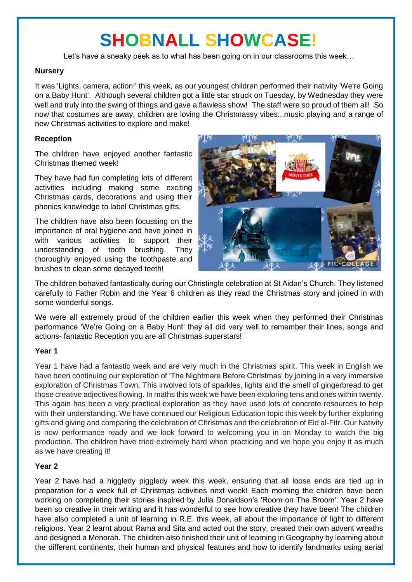# **SHOBNALL SHOWCASE!**

Let's have a sneaky peek as to what has been going on in our classrooms this week…

#### **Nursery**

It was 'Lights, camera, action!' this week, as our youngest children performed their nativity 'We're Going on a Baby Hunt'. Although several children got a little star struck on Tuesday, by Wednesday they were well and truly into the swing of things and gave a flawless show! The staff were so proud of them all! So now that costumes are away, children are loving the Christmassy vibes...music playing and a range of new Christmas activities to explore and make!

#### **Reception**

The children have enjoyed another fantastic Christmas themed week!

They have had fun completing lots of different activities including making some exciting Christmas cards, decorations and using their phonics knowledge to label Christmas gifts.

The children have also been focussing on the importance of oral hygiene and have joined in with various activities to support their understanding of tooth brushing. They thoroughly enjoyed using the toothpaste and brushes to clean some decayed teeth!



The children behaved fantastically during our Christingle celebration at St Aidan's Church. They listened carefully to Father Robin and the Year 6 children as they read the Christmas story and joined in with some wonderful songs.

We were all extremely proud of the children earlier this week when they performed their Christmas performance 'We're Going on a Baby Hunt' they all did very well to remember their lines, songs and actions- fantastic Reception you are all Christmas superstars!

#### **Year 1**

Year 1 have had a fantastic week and are very much in the Christmas spirit. This week in English we have been continuing our exploration of 'The Nightmare Before Christmas' by joining in a very immersive exploration of Christmas Town. This involved lots of sparkles, lights and the smell of gingerbread to get those creative adjectives flowing. In maths this week we have been exploring tens and ones within twenty. This again has been a very practical exploration as they have used lots of concrete resources to help with their understanding. We have continued our Religious Education topic this week by further exploring gifts and giving and comparing the celebration of Christmas and the celebration of Eid al-Fitr. Our Nativity is now performance ready and we look forward to welcoming you in on Monday to watch the big production. The children have tried extremely hard when practicing and we hope you enjoy it as much as we have creating it!

#### **Year 2**

Year 2 have had a higgledy piggledy week this week, ensuring that all loose ends are tied up in preparation for a week full of Christmas activities next week! Each morning the children have been working on completing their stories inspired by Julia Donaldson's 'Room on The Broom'. Year 2 have been so creative in their writing and it has wonderful to see how creative they have been! The children have also completed a unit of learning in R.E. this week, all about the importance of light to different religions. Year 2 learnt about Rama and Sita and acted out the story, created their own advent wreaths and designed a Menorah. The children also finished their unit of learning in Geography by learning about the different continents, their human and physical features and how to identify landmarks using aerial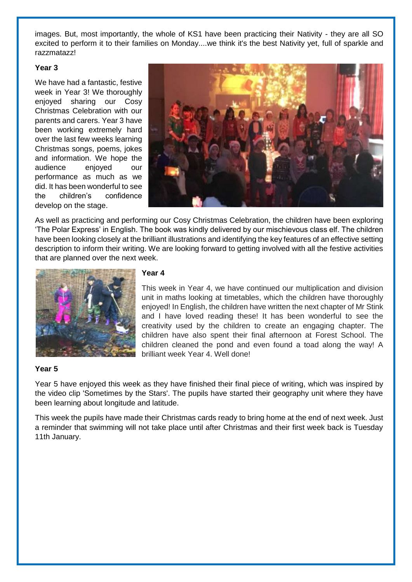images. But, most importantly, the whole of KS1 have been practicing their Nativity - they are all SO excited to perform it to their families on Monday....we think it's the best Nativity yet, full of sparkle and razzmatazz!

#### **Year 3**

We have had a fantastic, festive week in Year 3! We thoroughly enjoyed sharing our Cosy Christmas Celebration with our parents and carers. Year 3 have been working extremely hard over the last few weeks learning Christmas songs, poems, jokes and information. We hope the audience enjoyed our performance as much as we did. It has been wonderful to see the children's confidence develop on the stage.



As well as practicing and performing our Cosy Christmas Celebration, the children have been exploring 'The Polar Express' in English. The book was kindly delivered by our mischievous class elf. The children have been looking closely at the brilliant illustrations and identifying the key features of an effective setting description to inform their writing. We are looking forward to getting involved with all the festive activities that are planned over the next week.



#### **Year 4**

This week in Year 4, we have continued our multiplication and division unit in maths looking at timetables, which the children have thoroughly enjoyed! In English, the children have written the next chapter of Mr Stink and I have loved reading these! It has been wonderful to see the creativity used by the children to create an engaging chapter. The children have also spent their final afternoon at Forest School. The children cleaned the pond and even found a toad along the way! A brilliant week Year 4. Well done!

#### **Year 5**

Year 5 have enjoyed this week as they have finished their final piece of writing, which was inspired by the video clip 'Sometimes by the Stars'. The pupils have started their geography unit where they have been learning about longitude and latitude.

This week the pupils have made their Christmas cards ready to bring home at the end of next week. Just a reminder that swimming will not take place until after Christmas and their first week back is Tuesday 11th January.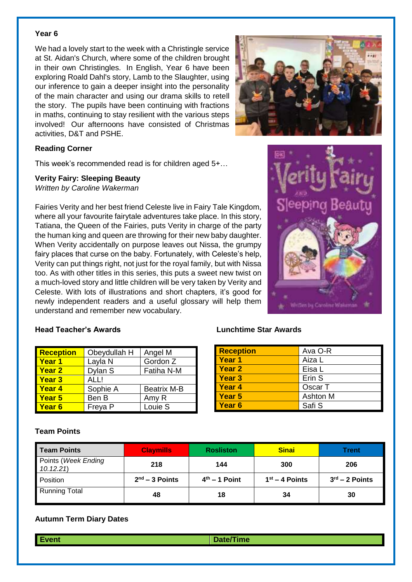#### **Year 6**

We had a lovely start to the week with a Christingle service at St. Aidan's Church, where some of the children brought in their own Christingles. In English, Year 6 have been exploring Roald Dahl's story, Lamb to the Slaughter, using our inference to gain a deeper insight into the personality of the main character and using our drama skills to retell the story. The pupils have been continuing with fractions in maths, continuing to stay resilient with the various steps involved! Our afternoons have consisted of Christmas activities, D&T and PSHE.



#### **Reading Corner**

This week's recommended read is for children aged 5+…

#### **Verity Fairy: Sleeping Beauty**

*Written by Caroline Wakerman*

Fairies Verity and her best friend Celeste live in Fairy Tale Kingdom, where all your favourite fairytale adventures take place. In this story, Tatiana, the Queen of the Fairies, puts Verity in charge of the party the human king and queen are throwing for their new baby daughter. When Verity accidentally on purpose leaves out Nissa, the grumpy fairy places that curse on the baby. Fortunately, with Celeste's help, Verity can put things right, not just for the royal family, but with Nissa too. As with other titles in this series, this puts a sweet new twist on a much-loved story and little children will be very taken by Verity and Celeste. With lots of illustrations and short chapters, it's good for newly independent readers and a useful glossary will help them understand and remember new vocabulary.



| <b>Reception</b> | Obeydullah H | Angel M            |
|------------------|--------------|--------------------|
| <b>Year 1</b>    | Layla N      | Gordon Z           |
| <b>Year 2</b>    | Dylan S      | Fatiha N-M         |
| <b>Year 3</b>    | ALL!         |                    |
| <b>Year 4</b>    | Sophie A     | <b>Beatrix M-B</b> |
| Year 5           | Ben B        | Amy R              |
| Year 6           | Freya P      | Louie S            |

#### **Head Teacher's Awards Lunchtime Star Awards**

| <b>Reception</b>  | Ava O-R  |
|-------------------|----------|
| Year 1            | Aiza L   |
| Year <sub>2</sub> | Eisa L   |
| <b>Year 3</b>     | Erin S   |
| Year 4            | Oscar T  |
| <b>Year 5</b>     | Ashton M |
| Year <sub>6</sub> | Safi S   |

#### **Team Points**

| <b>Team Points</b>              | <b>Claymills</b> | <b>Rosliston</b> | <b>Sinai</b>     | Trent            |
|---------------------------------|------------------|------------------|------------------|------------------|
| Points (Week Ending<br>10.12.21 | 218              | 144              | 300              | 206              |
| Position                        | $2nd - 3$ Points | $4th - 1$ Point  | $1st - 4$ Points | $3rd - 2$ Points |
| <b>Running Total</b>            | 48               | 18               | 34               | 30               |

#### **Autumn Term Diary Dates**

**Event Date/Time**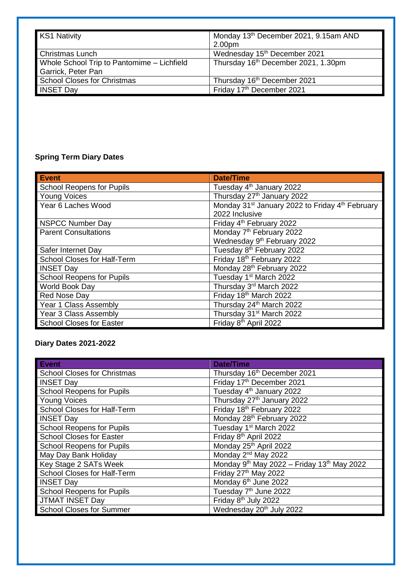| <b>KS1 Nativity</b>                        | Monday 13 <sup>th</sup> December 2021, 9.15am AND<br>2.00pm |
|--------------------------------------------|-------------------------------------------------------------|
| Christmas Lunch                            | Wednesday 15 <sup>th</sup> December 2021                    |
| Whole School Trip to Pantomime - Lichfield | Thursday 16th December 2021, 1.30pm                         |
| <b>Garrick, Peter Pan</b>                  |                                                             |
| School Closes for Christmas                | Thursday 16th December 2021                                 |
| <b>INSET Day</b>                           | Friday 17th December 2021                                   |

# **Spring Term Diary Dates**

| <b>Event</b>                       | <b>Date/Time</b>                                                        |  |
|------------------------------------|-------------------------------------------------------------------------|--|
| <b>School Reopens for Pupils</b>   | Tuesday 4 <sup>th</sup> January 2022                                    |  |
| <b>Young Voices</b>                | Thursday 27th January 2022                                              |  |
| Year 6 Laches Wood                 | Monday 31 <sup>st</sup> January 2022 to Friday 4 <sup>th</sup> February |  |
|                                    | 2022 Inclusive                                                          |  |
| <b>NSPCC Number Day</b>            | Friday 4 <sup>th</sup> February 2022                                    |  |
| <b>Parent Consultations</b>        | Monday 7 <sup>th</sup> February 2022                                    |  |
|                                    | Wednesday 9th February 2022                                             |  |
| Safer Internet Day                 | Tuesday 8 <sup>th</sup> February 2022                                   |  |
| <b>School Closes for Half-Term</b> | Friday 18th February 2022                                               |  |
| <b>INSET Day</b>                   | Monday 28th February 2022                                               |  |
| <b>School Reopens for Pupils</b>   | Tuesday 1 <sup>st</sup> March 2022                                      |  |
| World Book Day                     | Thursday 3rd March 2022                                                 |  |
| Red Nose Day                       | Friday 18th March 2022                                                  |  |
| Year 1 Class Assembly              | Thursday 24 <sup>th</sup> March 2022                                    |  |
| Year 3 Class Assembly              | Thursday 31 <sup>st</sup> March 2022                                    |  |
| <b>School Closes for Easter</b>    | Friday 8 <sup>th</sup> April 2022                                       |  |

# **Diary Dates 2021-2022**

| <b>Event</b>                       | <b>Date/Time</b>                                                   |
|------------------------------------|--------------------------------------------------------------------|
| <b>School Closes for Christmas</b> | Thursday 16th December 2021                                        |
| <b>INSET Day</b>                   | Friday 17th December 2021                                          |
| <b>School Reopens for Pupils</b>   | Tuesday 4 <sup>th</sup> January 2022                               |
| <b>Young Voices</b>                | Thursday 27th January 2022                                         |
| School Closes for Half-Term        | Friday 18th February 2022                                          |
| <b>INSET Day</b>                   | Monday 28th February 2022                                          |
| <b>School Reopens for Pupils</b>   | Tuesday 1 <sup>st</sup> March 2022                                 |
| <b>School Closes for Easter</b>    | Friday 8 <sup>th</sup> April 2022                                  |
| <b>School Reopens for Pupils</b>   | Monday 25th April 2022                                             |
| May Day Bank Holiday               | Monday 2 <sup>nd</sup> May 2022                                    |
| Key Stage 2 SATs Week              | Monday 9 <sup>th</sup> May 2022 - Friday 13 <sup>th</sup> May 2022 |
| School Closes for Half-Term        | Friday 27 <sup>th</sup> May 2022                                   |
| <b>INSET Day</b>                   | Monday 6 <sup>th</sup> June 2022                                   |
| <b>School Reopens for Pupils</b>   | Tuesday 7 <sup>th</sup> June 2022                                  |
| JTMAT INSET Day                    | Friday 8 <sup>th</sup> July 2022                                   |
| <b>School Closes for Summer</b>    | Wednesday 20 <sup>th</sup> July 2022                               |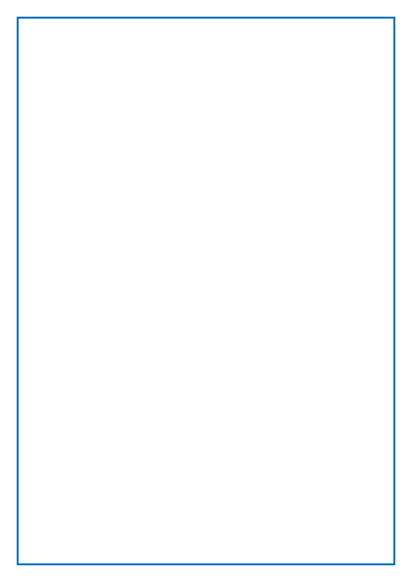